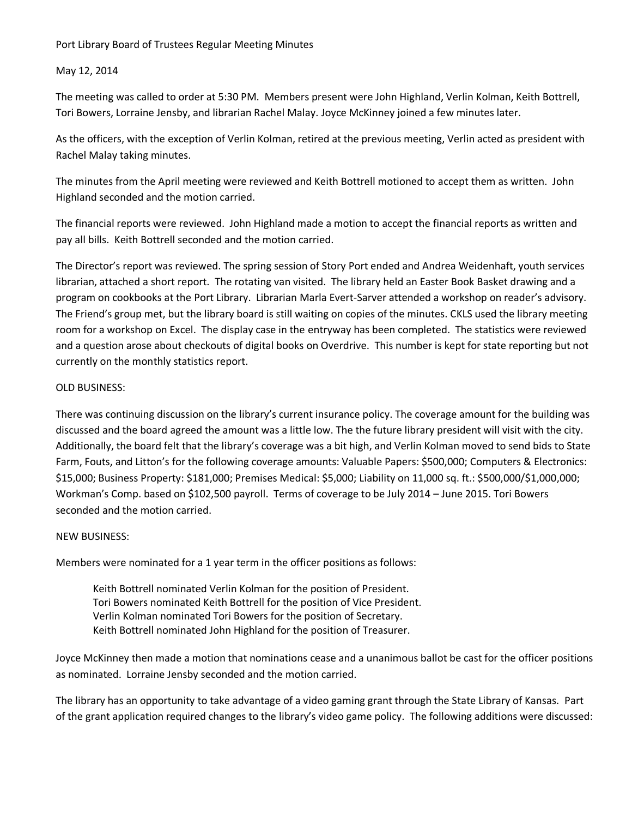## Port Library Board of Trustees Regular Meeting Minutes

### May 12, 2014

The meeting was called to order at 5:30 PM. Members present were John Highland, Verlin Kolman, Keith Bottrell, Tori Bowers, Lorraine Jensby, and librarian Rachel Malay. Joyce McKinney joined a few minutes later.

As the officers, with the exception of Verlin Kolman, retired at the previous meeting, Verlin acted as president with Rachel Malay taking minutes.

The minutes from the April meeting were reviewed and Keith Bottrell motioned to accept them as written. John Highland seconded and the motion carried.

The financial reports were reviewed. John Highland made a motion to accept the financial reports as written and pay all bills. Keith Bottrell seconded and the motion carried.

The Director's report was reviewed. The spring session of Story Port ended and Andrea Weidenhaft, youth services librarian, attached a short report. The rotating van visited. The library held an Easter Book Basket drawing and a program on cookbooks at the Port Library. Librarian Marla Evert-Sarver attended a workshop on reader's advisory. The Friend's group met, but the library board is still waiting on copies of the minutes. CKLS used the library meeting room for a workshop on Excel. The display case in the entryway has been completed. The statistics were reviewed and a question arose about checkouts of digital books on Overdrive. This number is kept for state reporting but not currently on the monthly statistics report.

## OLD BUSINESS:

There was continuing discussion on the library's current insurance policy. The coverage amount for the building was discussed and the board agreed the amount was a little low. The the future library president will visit with the city. Additionally, the board felt that the library's coverage was a bit high, and Verlin Kolman moved to send bids to State Farm, Fouts, and Litton's for the following coverage amounts: Valuable Papers: \$500,000; Computers & Electronics: \$15,000; Business Property: \$181,000; Premises Medical: \$5,000; Liability on 11,000 sq. ft.: \$500,000/\$1,000,000; Workman's Comp. based on \$102,500 payroll. Terms of coverage to be July 2014 – June 2015. Tori Bowers seconded and the motion carried.

# NEW BUSINESS:

Members were nominated for a 1 year term in the officer positions as follows:

Keith Bottrell nominated Verlin Kolman for the position of President. Tori Bowers nominated Keith Bottrell for the position of Vice President. Verlin Kolman nominated Tori Bowers for the position of Secretary. Keith Bottrell nominated John Highland for the position of Treasurer.

Joyce McKinney then made a motion that nominations cease and a unanimous ballot be cast for the officer positions as nominated. Lorraine Jensby seconded and the motion carried.

The library has an opportunity to take advantage of a video gaming grant through the State Library of Kansas. Part of the grant application required changes to the library's video game policy. The following additions were discussed: